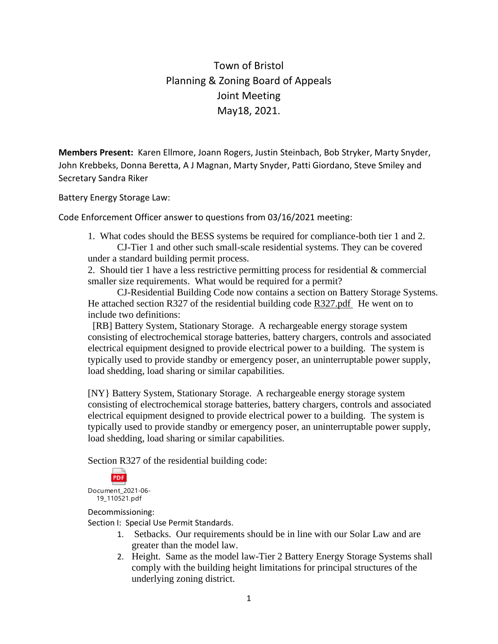Town of Bristol Planning & Zoning Board of Appeals Joint Meeting May18, 2021.

**Members Present:** Karen Ellmore, Joann Rogers, Justin Steinbach, Bob Stryker, Marty Snyder, John Krebbeks, Donna Beretta, A J Magnan, Marty Snyder, Patti Giordano, Steve Smiley and Secretary Sandra Riker

Battery Energy Storage Law:

Code Enforcement Officer answer to questions from 03/16/2021 meeting:

1. What codes should the BESS systems be required for compliance-both tier 1 and 2.

CJ-Tier 1 and other such small-scale residential systems. They can be covered under a standard building permit process.

2. Should tier 1 have a less restrictive permitting process for residential & commercial smaller size requirements. What would be required for a permit?

CJ-Residential Building Code now contains a section on Battery Storage Systems. He attached section R327 of the residential building code  $R327.$  pdf He went on to include two definitions:

 [RB] Battery System, Stationary Storage. A rechargeable energy storage system consisting of electrochemical storage batteries, battery chargers, controls and associated electrical equipment designed to provide electrical power to a building. The system is typically used to provide standby or emergency poser, an uninterruptable power supply, load shedding, load sharing or similar capabilities.

[NY} Battery System, Stationary Storage. A rechargeable energy storage system consisting of electrochemical storage batteries, battery chargers, controls and associated electrical equipment designed to provide electrical power to a building. The system is typically used to provide standby or emergency poser, an uninterruptable power supply, load shedding, load sharing or similar capabilities.

Section R327 of the residential building code:

**PDF** Document\_2021-06- 19\_110521.pdf

Decommissioning:

Section I: Special Use Permit Standards.

- 1. Setbacks. Our requirements should be in line with our Solar Law and are greater than the model law.
- 2. Height. Same as the model law-Tier 2 Battery Energy Storage Systems shall comply with the building height limitations for principal structures of the underlying zoning district.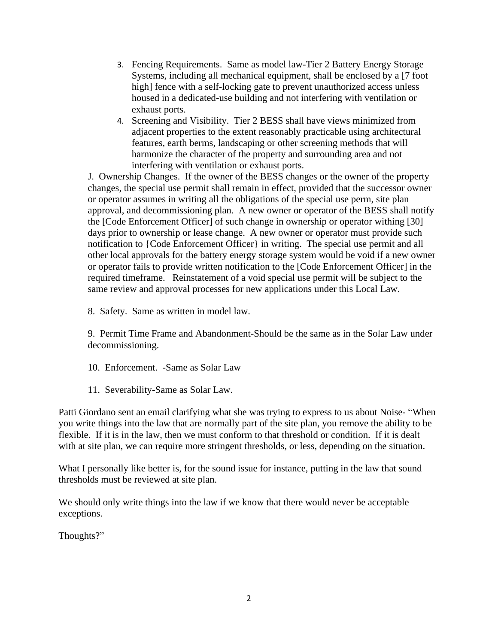- 3. Fencing Requirements. Same as model law-Tier 2 Battery Energy Storage Systems, including all mechanical equipment, shall be enclosed by a [7 foot high] fence with a self-locking gate to prevent unauthorized access unless housed in a dedicated-use building and not interfering with ventilation or exhaust ports.
- 4. Screening and Visibility. Tier 2 BESS shall have views minimized from adjacent properties to the extent reasonably practicable using architectural features, earth berms, landscaping or other screening methods that will harmonize the character of the property and surrounding area and not interfering with ventilation or exhaust ports.

J. Ownership Changes. If the owner of the BESS changes or the owner of the property changes, the special use permit shall remain in effect, provided that the successor owner or operator assumes in writing all the obligations of the special use perm, site plan approval, and decommissioning plan. A new owner or operator of the BESS shall notify the [Code Enforcement Officer] of such change in ownership or operator withing [30] days prior to ownership or lease change. A new owner or operator must provide such notification to {Code Enforcement Officer} in writing. The special use permit and all other local approvals for the battery energy storage system would be void if a new owner or operator fails to provide written notification to the [Code Enforcement Officer] in the required timeframe. Reinstatement of a void special use permit will be subject to the same review and approval processes for new applications under this Local Law.

8. Safety. Same as written in model law.

9. Permit Time Frame and Abandonment-Should be the same as in the Solar Law under decommissioning.

- 10. Enforcement. -Same as Solar Law
- 11. Severability-Same as Solar Law.

Patti Giordano sent an email clarifying what she was trying to express to us about Noise- "When you write things into the law that are normally part of the site plan, you remove the ability to be flexible. If it is in the law, then we must conform to that threshold or condition. If it is dealt with at site plan, we can require more stringent thresholds, or less, depending on the situation.

What I personally like better is, for the sound issue for instance, putting in the law that sound thresholds must be reviewed at site plan.

We should only write things into the law if we know that there would never be acceptable exceptions.

Thoughts?"